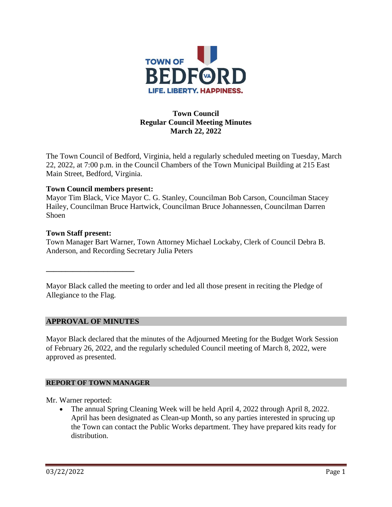

## **Town Council Regular Council Meeting Minutes March 22, 2022**

The Town Council of Bedford, Virginia, held a regularly scheduled meeting on Tuesday, March 22, 2022, at 7:00 p.m. in the Council Chambers of the Town Municipal Building at 215 East Main Street, Bedford, Virginia.

### **Town Council members present:**

Mayor Tim Black, Vice Mayor C. G. Stanley, Councilman Bob Carson, Councilman Stacey Hailey, Councilman Bruce Hartwick, Councilman Bruce Johannessen, Councilman Darren Shoen

### **Town Staff present:**

Town Manager Bart Warner, Town Attorney Michael Lockaby, Clerk of Council Debra B. Anderson, and Recording Secretary Julia Peters

Mayor Black called the meeting to order and led all those present in reciting the Pledge of Allegiance to the Flag.

## **APPROVAL OF MINUTES**

**\_\_\_\_\_\_\_\_\_\_\_\_\_\_\_\_\_\_\_\_\_\_\_**

Mayor Black declared that the minutes of the Adjourned Meeting for the Budget Work Session of February 26, 2022, and the regularly scheduled Council meeting of March 8, 2022, were approved as presented.

### **REPORT OF TOWN MANAGER**

Mr. Warner reported:

• The annual Spring Cleaning Week will be held April 4, 2022 through April 8, 2022. April has been designated as Clean-up Month, so any parties interested in sprucing up the Town can contact the Public Works department. They have prepared kits ready for distribution.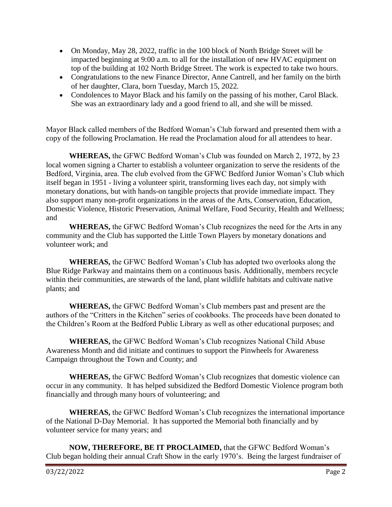- On Monday, May 28, 2022, traffic in the 100 block of North Bridge Street will be impacted beginning at 9:00 a.m. to all for the installation of new HVAC equipment on top of the building at 102 North Bridge Street. The work is expected to take two hours.
- Congratulations to the new Finance Director, Anne Cantrell, and her family on the birth of her daughter, Clara, born Tuesday, March 15, 2022.
- Condolences to Mayor Black and his family on the passing of his mother, Carol Black. She was an extraordinary lady and a good friend to all, and she will be missed.

Mayor Black called members of the Bedford Woman's Club forward and presented them with a copy of the following Proclamation. He read the Proclamation aloud for all attendees to hear.

**WHEREAS,** the GFWC Bedford Woman's Club was founded on March 2, 1972, by 23 local women signing a Charter to establish a volunteer organization to serve the residents of the Bedford, Virginia, area. The club evolved from the GFWC Bedford Junior Woman's Club which itself began in 1951 - living a volunteer spirit, transforming lives each day, not simply with monetary donations, but with hands-on tangible projects that provide immediate impact. They also support many non-profit organizations in the areas of the Arts, Conservation, Education, Domestic Violence, Historic Preservation, Animal Welfare, Food Security, Health and Wellness; and

**WHEREAS,** the GFWC Bedford Woman's Club recognizes the need for the Arts in any community and the Club has supported the Little Town Players by monetary donations and volunteer work; and

**WHEREAS,** the GFWC Bedford Woman's Club has adopted two overlooks along the Blue Ridge Parkway and maintains them on a continuous basis. Additionally, members recycle within their communities, are stewards of the land, plant wildlife habitats and cultivate native plants; and

**WHEREAS,** the GFWC Bedford Woman's Club members past and present are the authors of the "Critters in the Kitchen" series of cookbooks. The proceeds have been donated to the Children's Room at the Bedford Public Library as well as other educational purposes; and

**WHEREAS,** the GFWC Bedford Woman's Club recognizes National Child Abuse Awareness Month and did initiate and continues to support the Pinwheels for Awareness Campaign throughout the Town and County; and

**WHEREAS,** the GFWC Bedford Woman's Club recognizes that domestic violence can occur in any community. It has helped subsidized the Bedford Domestic Violence program both financially and through many hours of volunteering; and

**WHEREAS,** the GFWC Bedford Woman's Club recognizes the international importance of the National D-Day Memorial. It has supported the Memorial both financially and by volunteer service for many years; and

**NOW, THEREFORE, BE IT PROCLAIMED,** that the GFWC Bedford Woman's Club began holding their annual Craft Show in the early 1970's. Being the largest fundraiser of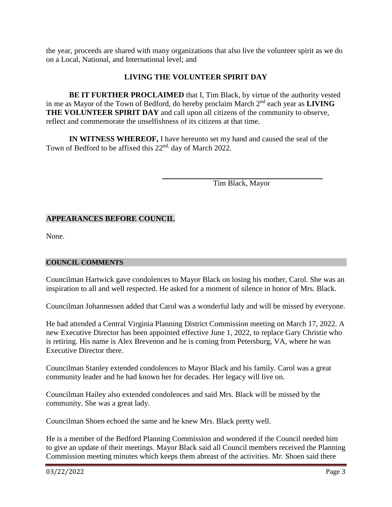the year, proceeds are shared with many organizations that also live the volunteer spirit as we do on a Local, National, and International level; and

## **LIVING THE VOLUNTEER SPIRIT DAY**

**BE IT FURTHER PROCLAIMED** that I, Tim Black, by virtue of the authority vested in me as Mayor of the Town of Bedford, do hereby proclaim March 2nd each year as **LIVING THE VOLUNTEER SPIRIT DAY** and call upon all citizens of the community to observe, reflect and commemorate the unselfishness of its citizens at that time.

**IN WITNESS WHEREOF,** I have hereunto set my hand and caused the seal of the Town of Bedford to be affixed this 22<sup>nd.</sup> day of March 2022.

Tim Black, Mayor

# **APPEARANCES BEFORE COUNCIL**

None.

## **COUNCIL COMMENTS**

Councilman Hartwick gave condolences to Mayor Black on losing his mother, Carol. She was an inspiration to all and well respected. He asked for a moment of silence in honor of Mrs. Black.

Councilman Johannessen added that Carol was a wonderful lady and will be missed by everyone.

He had attended a Central Virginia Planning District Commission meeting on March 17, 2022. A new Executive Director has been appointed effective June 1, 2022, to replace Gary Christie who is retiring. His name is Alex Brevenon and he is coming from Petersburg, VA, where he was Executive Director there.

Councilman Stanley extended condolences to Mayor Black and his family. Carol was a great community leader and he had known her for decades. Her legacy will live on.

Councilman Hailey also extended condolences and said Mrs. Black will be missed by the community. She was a great lady.

Councilman Shoen echoed the same and he knew Mrs. Black pretty well.

He is a member of the Bedford Planning Commission and wondered if the Council needed him to give an update of their meetings. Mayor Black said all Council members received the Planning Commission meeting minutes which keeps them abreast of the activities. Mr. Shoen said there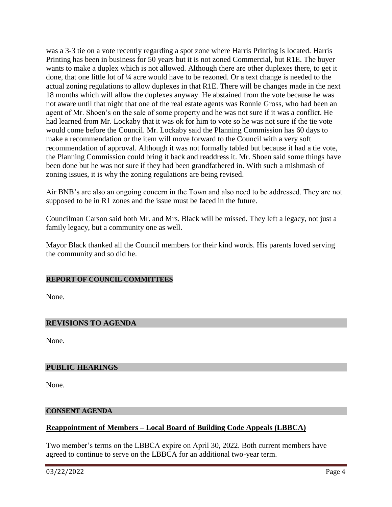was a 3-3 tie on a vote recently regarding a spot zone where Harris Printing is located. Harris Printing has been in business for 50 years but it is not zoned Commercial, but R1E. The buyer wants to make a duplex which is not allowed. Although there are other duplexes there, to get it done, that one little lot of ¼ acre would have to be rezoned. Or a text change is needed to the actual zoning regulations to allow duplexes in that R1E. There will be changes made in the next 18 months which will allow the duplexes anyway. He abstained from the vote because he was not aware until that night that one of the real estate agents was Ronnie Gross, who had been an agent of Mr. Shoen's on the sale of some property and he was not sure if it was a conflict. He had learned from Mr. Lockaby that it was ok for him to vote so he was not sure if the tie vote would come before the Council. Mr. Lockaby said the Planning Commission has 60 days to make a recommendation or the item will move forward to the Council with a very soft recommendation of approval. Although it was not formally tabled but because it had a tie vote, the Planning Commission could bring it back and readdress it. Mr. Shoen said some things have been done but he was not sure if they had been grandfathered in. With such a mishmash of zoning issues, it is why the zoning regulations are being revised.

Air BNB's are also an ongoing concern in the Town and also need to be addressed. They are not supposed to be in R1 zones and the issue must be faced in the future.

Councilman Carson said both Mr. and Mrs. Black will be missed. They left a legacy, not just a family legacy, but a community one as well.

Mayor Black thanked all the Council members for their kind words. His parents loved serving the community and so did he.

### **REPORT OF COUNCIL COMMITTEES**

None.

## **REVISIONS TO AGENDA**

None.

### **PUBLIC HEARINGS**

None.

### **CONSENT AGENDA**

## **Reappointment of Members – Local Board of Building Code Appeals (LBBCA)**

Two member's terms on the LBBCA expire on April 30, 2022. Both current members have agreed to continue to serve on the LBBCA for an additional two-year term.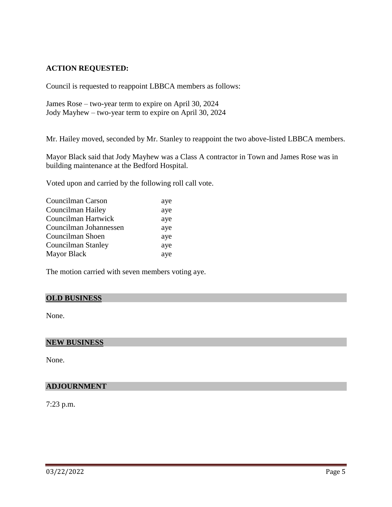## **ACTION REQUESTED:**

Council is requested to reappoint LBBCA members as follows:

James Rose – two-year term to expire on April 30, 2024 Jody Mayhew – two-year term to expire on April 30, 2024

Mr. Hailey moved, seconded by Mr. Stanley to reappoint the two above-listed LBBCA members.

Mayor Black said that Jody Mayhew was a Class A contractor in Town and James Rose was in building maintenance at the Bedford Hospital.

Voted upon and carried by the following roll call vote.

| Councilman Carson      | aye |
|------------------------|-----|
| Councilman Hailey      | aye |
| Councilman Hartwick    | aye |
| Councilman Johannessen | aye |
| Councilman Shoen       | aye |
| Councilman Stanley     | aye |
| <b>Mayor Black</b>     | aye |

The motion carried with seven members voting aye.

## **OLD BUSINESS**

None.

#### **NEW BUSINESS**

None.

### **ADJOURNMENT**

7:23 p.m.